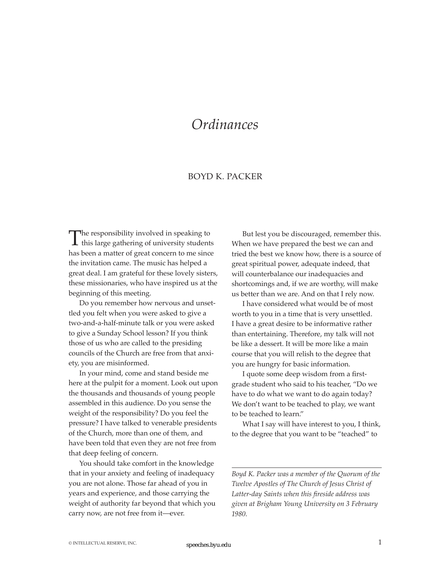## *Ordinances*

## BOYD K. PACKER

The responsibility involved in speaking to this large gathering of university students has been a matter of great concern to me since the invitation came. The music has helped a great deal. I am grateful for these lovely sisters, these missionaries, who have inspired us at the beginning of this meeting.

Do you remember how nervous and unsettled you felt when you were asked to give a two-and-a-half-minute talk or you were asked to give a Sunday School lesson? If you think those of us who are called to the presiding councils of the Church are free from that anxiety, you are misinformed.

In your mind, come and stand beside me here at the pulpit for a moment. Look out upon the thousands and thousands of young people assembled in this audience. Do you sense the weight of the responsibility? Do you feel the pressure? I have talked to venerable presidents of the Church, more than one of them, and have been told that even they are not free from that deep feeling of concern.

You should take comfort in the knowledge that in your anxiety and feeling of inadequacy you are not alone. Those far ahead of you in years and experience, and those carrying the weight of authority far beyond that which you carry now, are not free from it—ever.

But lest you be discouraged, remember this. When we have prepared the best we can and tried the best we know how, there is a source of great spiritual power, adequate indeed, that will counterbalance our inadequacies and shortcomings and, if we are worthy, will make us better than we are. And on that I rely now.

I have considered what would be of most worth to you in a time that is very unsettled. I have a great desire to be informative rather than entertaining. Therefore, my talk will not be like a dessert. It will be more like a main course that you will relish to the degree that you are hungry for basic information.

I quote some deep wisdom from a firstgrade student who said to his teacher, "Do we have to do what we want to do again today? We don't want to be teached to play, we want to be teached to learn."

What I say will have interest to you, I think, to the degree that you want to be "teached" to

*Boyd K. Packer was a member of the Quorum of the Twelve Apostles of The Church of Jesus Christ of Latter-day Saints when this fireside address was given at Brigham Young University on 3 February 1980.*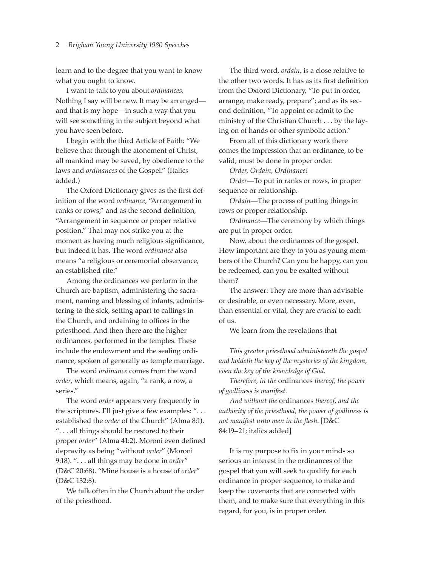## 2 *Brigham Young University 1980 Speeches*

learn and to the degree that you want to know what you ought to know.

I want to talk to you about *ordinances*. Nothing I say will be new. It may be arranged and that is my hope—in such a way that you will see something in the subject beyond what you have seen before.

I begin with the third Article of Faith: "We believe that through the atonement of Christ, all mankind may be saved, by obedience to the laws and *ordinances* of the Gospel." (Italics added.)

The Oxford Dictionary gives as the first definition of the word *ordinance*, "Arrangement in ranks or rows," and as the second definition, "Arrangement in sequence or proper relative position." That may not strike you at the moment as having much religious significance, but indeed it has. The word *ordinance* also means "a religious or ceremonial observance, an established rite."

Among the ordinances we perform in the Church are baptism, administering the sacrament, naming and blessing of infants, administering to the sick, setting apart to callings in the Church, and ordaining to offices in the priesthood. And then there are the higher ordinances, performed in the temples. These include the endowment and the sealing ordinance, spoken of generally as temple marriage.

The word *ordinance* comes from the word *order*, which means, again, "a rank, a row, a series."

The word *order* appears very frequently in the scriptures. I'll just give a few examples: ". . . established the *order* of the Church" (Alma 8:1). ". . . all things should be restored to their proper *order*" (Alma 41:2). Moroni even defined depravity as being "without *order*" (Moroni 9:18). ". . . all things may be done in *order*" (D&C 20:68). "Mine house is a house of *order*" (D&C 132:8).

We talk often in the Church about the order of the priesthood.

The third word, *ordain,* is a close relative to the other two words. It has as its first definition from the Oxford Dictionary, "To put in order, arrange, make ready, prepare"; and as its second definition, "To appoint or admit to the ministry of the Christian Church . . . by the laying on of hands or other symbolic action."

From all of this dictionary work there comes the impression that an ordinance, to be valid, must be done in proper order.

*Order, Ordain, Ordinance!*

*Order*—To put in ranks or rows, in proper sequence or relationship.

*Ordain*—The process of putting things in rows or proper relationship.

*Ordinance*—The ceremony by which things are put in proper order.

Now, about the ordinances of the gospel. How important are they to you as young members of the Church? Can you be happy, can you be redeemed, can you be exalted without them?

The answer: They are more than advisable or desirable, or even necessary. More, even, than essential or vital, they are *crucial* to each of us.

We learn from the revelations that

*This greater priesthood administereth the gospel and holdeth the key of the mysteries of the kingdom, even the key of the knowledge of God.*

*Therefore, in the* ordinances *thereof, the power of godliness is manifest.*

*And without the* ordinances *thereof, and the authority of the priesthood, the power of godliness is not manifest unto men in the flesh.* [D&C 84:19–21; italics added]

It is my purpose to fix in your minds so serious an interest in the ordinances of the gospel that you will seek to qualify for each ordinance in proper sequence, to make and keep the covenants that are connected with them, and to make sure that everything in this regard, for you, is in proper order.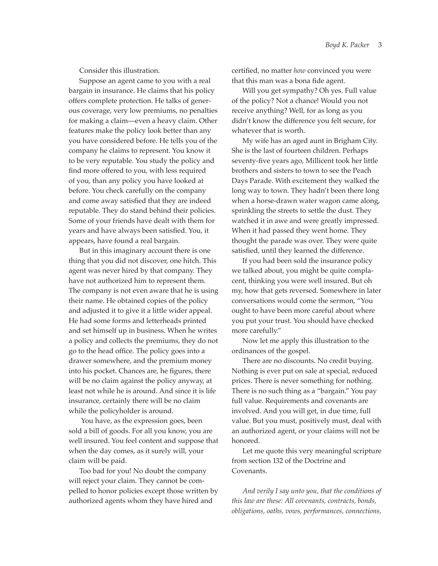Consider this illustration.

Suppose an agent came to you with a real bargain in insurance. He claims that his policy offers complete protection. He talks of generous coverage, very low premiums, no penalties for making a claim—even a heavy claim. Other features make the policy look better than any you have considered before. He tells you of the company he claims to represent. You know it to be very reputable. You study the policy and find more offered to you, with less required of you, than any policy you have looked at before. You check carefully on the company and come away satisfied that they are indeed reputable. They do stand behind their policies. Some of your friends have dealt with them for years and have always been satisfied. You, it appears, have found a real bargain.

But in this imaginary account there is one thing that you did not discover, one hitch. This agent was never hired by that company. They have not authorized him to represent them. The company is not even aware that he is using their name. He obtained copies of the policy and adjusted it to give it a little wider appeal. He had some forms and letterheads printed and set himself up in business. When he writes a policy and collects the premiums, they do not go to the head office. The policy goes into a drawer somewhere, and the premium money into his pocket. Chances are, he figures, there will be no claim against the policy anyway, at least not while he is around. And since it is life insurance, certainly there will be no claim while the policyholder is around.

You have, as the expression goes, been sold a bill of goods. For all you know, you are well insured. You feel content and suppose that when the day comes, as it surely will, your claim will be paid.

Too bad for you! No doubt the company will reject your claim. They cannot be compelled to honor policies except those written by authorized agents whom they have hired and

certified, no matter *how* convinced you were that this man was a bona fide agent.

Will you get sympathy? Oh yes. Full value of the policy? Not a chance! Would you not receive anything? Well, for as long as you didn't know the difference you felt secure, for whatever that is worth.

My wife has an aged aunt in Brigham City. She is the last of fourteen children. Perhaps seventy-five years ago, Millicent took her little brothers and sisters to town to see the Peach Days Parade. With excitement they walked the long way to town. They hadn't been there long when a horse-drawn water wagon came along, sprinkling the streets to settle the dust. They watched it in awe and were greatly impressed. When it had passed they went home. They thought the parade was over. They were quite satisfied, until they learned the difference.

If you had been sold the insurance policy we talked about, you might be quite complacent, thinking you were well insured. But oh my, how that gets reversed. Somewhere in later conversations would come the sermon, "You ought to have been more careful about where you put your trust. You should have checked more carefully."

Now let me apply this illustration to the ordinances of the gospel.

There are no discounts. No credit buying. Nothing is ever put on sale at special, reduced prices. There is never something for nothing. There is no such thing as a "bargain." You pay full value. Requirements and covenants are involved. And you will get, in due time, full value. But you must, positively must, deal with an authorized agent, or your claims will not be honored.

Let me quote this very meaningful scripture from section 132 of the Doctrine and Covenants.

*And verily I say unto you, that the conditions of this law are these: All covenants, contracts, bonds, obligations, oaths, vows, performances, connections,*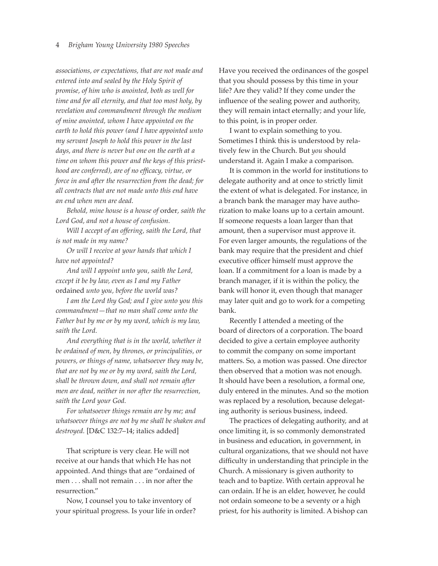*associations, or expectations, that are not made and entered into and sealed by the Holy Spirit of promise, of him who is anointed, both as well for time and for all eternity, and that too most holy, by revelation and commandment through the medium of mine anointed, whom I have appointed on the earth to hold this power (and I have appointed unto my servant Joseph to hold this power in the last days, and there is never but one on the earth at a time on whom this power and the keys of this priesthood are conferred), are of no efficacy, virtue, or force in and after the resurrection from the dead; for all contracts that are not made unto this end have an end when men are dead.*

*Behold, mine house is a house of* order*, saith the Lord God, and not a house of confusion.*

*Will I accept of an offering, saith the Lord, that is not made in my name?*

*Or will I receive at your hands that which I have not appointed?*

*And will I appoint unto you, saith the Lord, except it be by law, even as I and my Father* ordained *unto you, before the world was?*

*I am the Lord thy God; and I give unto you this commandment—that no man shall come unto the Father but by me or by my word, which is my law, saith the Lord.*

*And everything that is in the world, whether it be ordained of men, by thrones, or principalities, or powers, or things of name, whatsoever they may be, that are not by me or by my word, saith the Lord, shall be thrown down, and shall not remain after men are dead, neither in nor after the resurrection, saith the Lord your God.*

*For whatsoever things remain are by me; and whatsoever things are not by me shall be shaken and destroyed.* [D&C 132:7–14; italics added]

That scripture is very clear. He will not receive at our hands that which He has not appointed. And things that are "ordained of men . . . shall not remain . . . in nor after the resurrection."

Now, I counsel you to take inventory of your spiritual progress. Is your life in order? Have you received the ordinances of the gospel that you should possess by this time in your life? Are they valid? If they come under the influence of the sealing power and authority, they will remain intact eternally; and your life, to this point, is in proper order.

I want to explain something to you. Sometimes I think this is understood by relatively few in the Church. But *you* should understand it. Again I make a comparison.

It is common in the world for institutions to delegate authority and at once to strictly limit the extent of what is delegated. For instance, in a branch bank the manager may have authorization to make loans up to a certain amount. If someone requests a loan larger than that amount, then a supervisor must approve it. For even larger amounts, the regulations of the bank may require that the president and chief executive officer himself must approve the loan. If a commitment for a loan is made by a branch manager, if it is within the policy, the bank will honor it, even though that manager may later quit and go to work for a competing bank.

Recently I attended a meeting of the board of directors of a corporation. The board decided to give a certain employee authority to commit the company on some important matters. So, a motion was passed. One director then observed that a motion was not enough. It should have been a resolution, a formal one, duly entered in the minutes. And so the motion was replaced by a resolution, because delegating authority is serious business, indeed.

The practices of delegating authority, and at once limiting it, is so commonly demonstrated in business and education, in government, in cultural organizations, that we should not have difficulty in understanding that principle in the Church. A missionary is given authority to teach and to baptize. With certain approval he can ordain. If he is an elder, however, he could not ordain someone to be a seventy or a high priest, for his authority is limited. A bishop can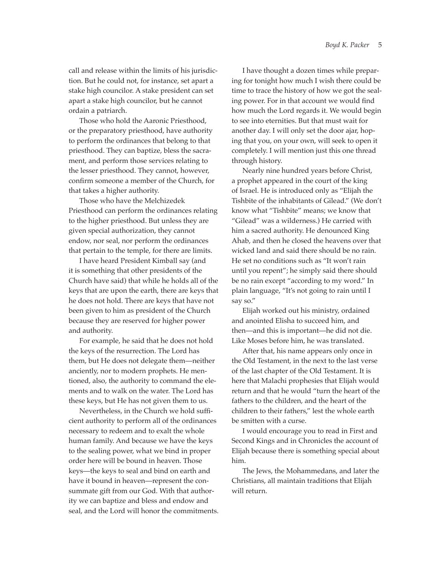call and release within the limits of his jurisdiction. But he could not, for instance, set apart a stake high councilor. A stake president can set apart a stake high councilor, but he cannot ordain a patriarch.

Those who hold the Aaronic Priesthood, or the preparatory priesthood, have authority to perform the ordinances that belong to that priesthood. They can baptize, bless the sacrament, and perform those services relating to the lesser priesthood. They cannot, however, confirm someone a member of the Church, for that takes a higher authority.

Those who have the Melchizedek Priesthood can perform the ordinances relating to the higher priesthood. But unless they are given special authorization, they cannot endow, nor seal, nor perform the ordinances that pertain to the temple, for there are limits.

I have heard President Kimball say (and it is something that other presidents of the Church have said) that while he holds all of the keys that are upon the earth, there are keys that he does not hold. There are keys that have not been given to him as president of the Church because they are reserved for higher power and authority.

For example, he said that he does not hold the keys of the resurrection. The Lord has them, but He does not delegate them—neither anciently, nor to modern prophets. He mentioned, also, the authority to command the elements and to walk on the water. The Lord has these keys, but He has not given them to us.

Nevertheless, in the Church we hold sufficient authority to perform all of the ordinances necessary to redeem and to exalt the whole human family. And because we have the keys to the sealing power, what we bind in proper order here will be bound in heaven. Those keys—the keys to seal and bind on earth and have it bound in heaven—represent the consummate gift from our God. With that authority we can baptize and bless and endow and seal, and the Lord will honor the commitments.

I have thought a dozen times while preparing for tonight how much I wish there could be time to trace the history of how we got the sealing power. For in that account we would find how much the Lord regards it. We would begin to see into eternities. But that must wait for another day. I will only set the door ajar, hoping that you, on your own, will seek to open it completely. I will mention just this one thread through history.

Nearly nine hundred years before Christ, a prophet appeared in the court of the king of Israel. He is introduced only as "Elijah the Tishbite of the inhabitants of Gilead." (We don't know what "Tishbite" means; we know that "Gilead" was a wilderness.) He carried with him a sacred authority. He denounced King Ahab, and then he closed the heavens over that wicked land and said there should be no rain. He set no conditions such as "It won't rain until you repent"; he simply said there should be no rain except "according to my word." In plain language, "It's not going to rain until I say so."

Elijah worked out his ministry, ordained and anointed Elisha to succeed him, and then—and this is important—he did not die. Like Moses before him, he was translated.

After that, his name appears only once in the Old Testament, in the next to the last verse of the last chapter of the Old Testament. It is here that Malachi prophesies that Elijah would return and that he would "turn the heart of the fathers to the children, and the heart of the children to their fathers," lest the whole earth be smitten with a curse.

I would encourage you to read in First and Second Kings and in Chronicles the account of Elijah because there is something special about him.

The Jews, the Mohammedans, and later the Christians, all maintain traditions that Elijah will return.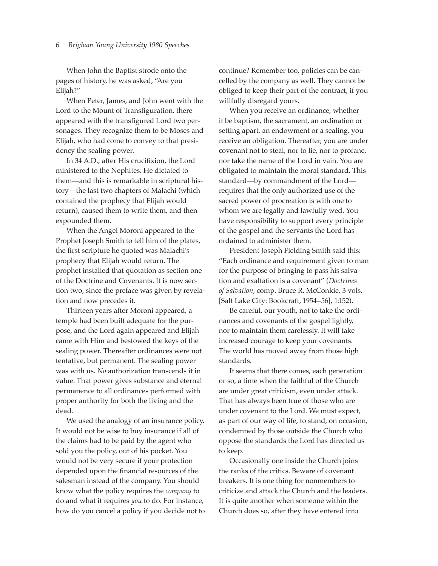When John the Baptist strode onto the pages of history, he was asked, "Are you Elijah?"

When Peter, James, and John went with the Lord to the Mount of Transfiguration, there appeared with the transfigured Lord two personages. They recognize them to be Moses and Elijah, who had come to convey to that presidency the sealing power.

In 34 A.D., after His crucifixion, the Lord ministered to the Nephites. He dictated to them—and this is remarkable in scriptural history—the last two chapters of Malachi (which contained the prophecy that Elijah would return), caused them to write them, and then expounded them.

When the Angel Moroni appeared to the Prophet Joseph Smith to tell him of the plates, the first scripture he quoted was Malachi's prophecy that Elijah would return. The prophet installed that quotation as section one of the Doctrine and Covenants. It is now section two, since the preface was given by revelation and now precedes it.

Thirteen years after Moroni appeared, a temple had been built adequate for the purpose, and the Lord again appeared and Elijah came with Him and bestowed the keys of the sealing power. Thereafter ordinances were not tentative, but permanent. The sealing power was with us. *No* authorization transcends it in value. That power gives substance and eternal permanence to all ordinances performed with proper authority for both the living and the dead.

We used the analogy of an insurance policy. It would not be wise to buy insurance if all of the claims had to be paid by the agent who sold you the policy, out of his pocket. You would not be very secure if your protection depended upon the financial resources of the salesman instead of the company. You should know what the policy requires the *company* to do and what it requires *you* to do. For instance, how do you cancel a policy if you decide not to continue? Remember too, policies can be cancelled by the company as well. They cannot be obliged to keep their part of the contract, if you willfully disregard yours.

When you receive an ordinance, whether it be baptism, the sacrament, an ordination or setting apart, an endowment or a sealing, you receive an obligation. Thereafter, you are under covenant not to steal, nor to lie, nor to profane, nor take the name of the Lord in vain. You are obligated to maintain the moral standard. This standard—by commandment of the Lord requires that the only authorized use of the sacred power of procreation is with one to whom we are legally and lawfully wed. You have responsibility to support every principle of the gospel and the servants the Lord has ordained to administer them.

President Joseph Fielding Smith said this: "Each ordinance and requirement given to man for the purpose of bringing to pass his salvation and exaltation is a covenant" (*Doctrines of Salvation*, comp. Bruce R. McConkie, 3 vols. [Salt Lake City: Bookcraft, 1954–56], 1:152).

Be careful, our youth, not to take the ordinances and covenants of the gospel lightly, nor to maintain them carelessly. It will take increased courage to keep your covenants. The world has moved away from those high standards.

It seems that there comes, each generation or so, a time when the faithful of the Church are under great criticism, even under attack. That has always been true of those who are under covenant to the Lord. We must expect, as part of our way of life, to stand, on occasion, condemned by those outside the Church who oppose the standards the Lord has directed us to keep.

Occasionally one inside the Church joins the ranks of the critics. Beware of covenant breakers. It is one thing for nonmembers to criticize and attack the Church and the leaders. It is quite another when someone within the Church does so, after they have entered into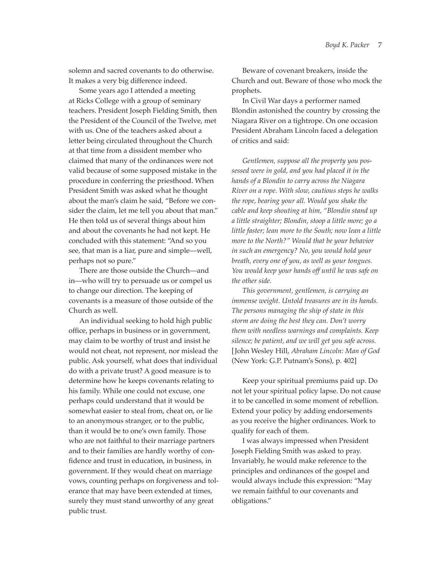solemn and sacred covenants to do otherwise. It makes a very big difference indeed.

Some years ago I attended a meeting at Ricks College with a group of seminary teachers. President Joseph Fielding Smith, then the President of the Council of the Twelve, met with us. One of the teachers asked about a letter being circulated throughout the Church at that time from a dissident member who claimed that many of the ordinances were not valid because of some supposed mistake in the procedure in conferring the priesthood. When President Smith was asked what he thought about the man's claim he said, "Before we consider the claim, let me tell you about that man." He then told us of several things about him and about the covenants he had not kept. He concluded with this statement: "And so you see, that man is a liar, pure and simple—well, perhaps not so pure."

There are those outside the Church—and in—who will try to persuade us or compel us to change our direction. The keeping of covenants is a measure of those outside of the Church as well.

An individual seeking to hold high public office, perhaps in business or in government, may claim to be worthy of trust and insist he would not cheat, not represent, nor mislead the public. Ask yourself, what does that individual do with a private trust? A good measure is to determine how he keeps covenants relating to his family. While one could not excuse, one perhaps could understand that it would be somewhat easier to steal from, cheat on, or lie to an anonymous stranger, or to the public, than it would be to one's own family. Those who are not faithful to their marriage partners and to their families are hardly worthy of confidence and trust in education, in business, in government. If they would cheat on marriage vows, counting perhaps on forgiveness and tolerance that may have been extended at times, surely they must stand unworthy of any great public trust.

Beware of covenant breakers, inside the Church and out. Beware of those who mock the prophets.

In Civil War days a performer named Blondin astonished the country by crossing the Niagara River on a tightrope. On one occasion President Abraham Lincoln faced a delegation of critics and said:

*Gentlemen, suppose all the property you possessed were in gold, and you had placed it in the hands of a Blondin to carry across the Niagara River on a rope. With slow, cautious steps he walks the rope, bearing your all. Would you shake the cable and keep shouting at him, "Blondin stand up a little straighter; Blondin, stoop a little more; go a little faster; lean more to the South; now lean a little more to the North?" Would that be your behavior in such an emergency? No, you would hold your breath, every one of you, as well as your tongues. You would keep your hands off until he was safe on the other side.*

*This government, gentlemen, is carrying an immense weight. Untold treasures are in its hands. The persons managing the ship of state in this storm are doing the best they can. Don't worry them with needless warnings and complaints. Keep silence; be patient, and we will get you safe across.* [John Wesley Hill, *Abraham Lincoln: Man of God* (New York: G.P. Putnam's Sons), p. 402]

Keep your spiritual premiums paid up. Do not let your spiritual policy lapse. Do not cause it to be cancelled in some moment of rebellion. Extend your policy by adding endorsements as you receive the higher ordinances. Work to qualify for each of them.

I was always impressed when President Joseph Fielding Smith was asked to pray. Invariably, he would make reference to the principles and ordinances of the gospel and would always include this expression: "May we remain faithful to our covenants and obligations."